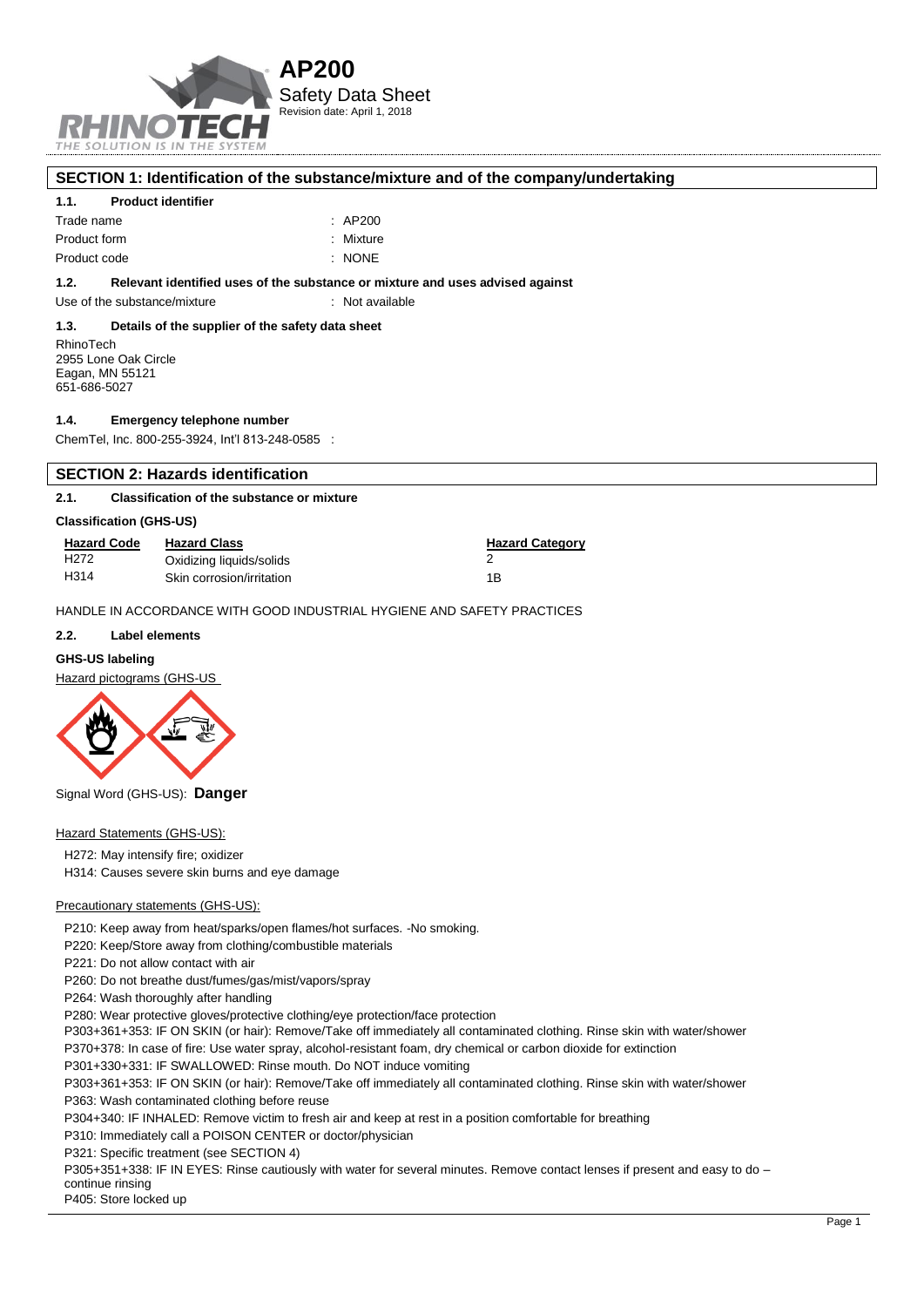

### **SECTION 1: Identification of the substance/mixture and of the company/undertaking**

### **1.1. Product identifier**

| Trade name   | $\therefore$ AP200 |
|--------------|--------------------|
| Product form | : Mixture          |
| Product code | : NONE             |

### **1.2. Relevant identified uses of the substance or mixture and uses advised against**

Use of the substance/mixture : Not available

#### **1.3. Details of the supplier of the safety data sheet**

RhinoTech 2955 Lone Oak Circle Eagan, MN 55121 651-686-5027

#### **1.4. Emergency telephone number**

ChemTel, Inc. 800-255-3924, Int'l 813-248-0585 :

### **SECTION 2: Hazards identification**

### **2.1. Classification of the substance or mixture**

#### **Classification (GHS-US)**

| <b>Hazard Code</b> | <b>Hazard Class</b>       | <b>Hazard Category</b> |
|--------------------|---------------------------|------------------------|
| H <sub>2</sub> 72  | Oxidizing liquids/solids  |                        |
| H <sub>314</sub>   | Skin corrosion/irritation | 1Β                     |

HANDLE IN ACCORDANCE WITH GOOD INDUSTRIAL HYGIENE AND SAFETY PRACTICES

### **2.2. Label elements**

### **GHS-US labeling**

Hazard pictograms (GHS-US



Signal Word (GHS-US): **Danger**

## Hazard Statements (GHS-US):

H272: May intensify fire; oxidizer

H314: Causes severe skin burns and eye damage

### Precautionary statements (GHS-US):

P210: Keep away from heat/sparks/open flames/hot surfaces. -No smoking.

P220: Keep/Store away from clothing/combustible materials

P221: Do not allow contact with air

P260: Do not breathe dust/fumes/gas/mist/vapors/spray

P264: Wash thoroughly after handling

P280: Wear protective gloves/protective clothing/eye protection/face protection

P303+361+353: IF ON SKIN (or hair): Remove/Take off immediately all contaminated clothing. Rinse skin with water/shower

P370+378: In case of fire: Use water spray, alcohol-resistant foam, dry chemical or carbon dioxide for extinction

P301+330+331: IF SWALLOWED: Rinse mouth. Do NOT induce vomiting

P303+361+353: IF ON SKIN (or hair): Remove/Take off immediately all contaminated clothing. Rinse skin with water/shower

P363: Wash contaminated clothing before reuse

P304+340: IF INHALED: Remove victim to fresh air and keep at rest in a position comfortable for breathing

P310: Immediately call a POISON CENTER or doctor/physician

P321: Specific treatment (see SECTION 4)

P305+351+338: IF IN EYES: Rinse cautiously with water for several minutes. Remove contact lenses if present and easy to do continue rinsing

P405: Store locked up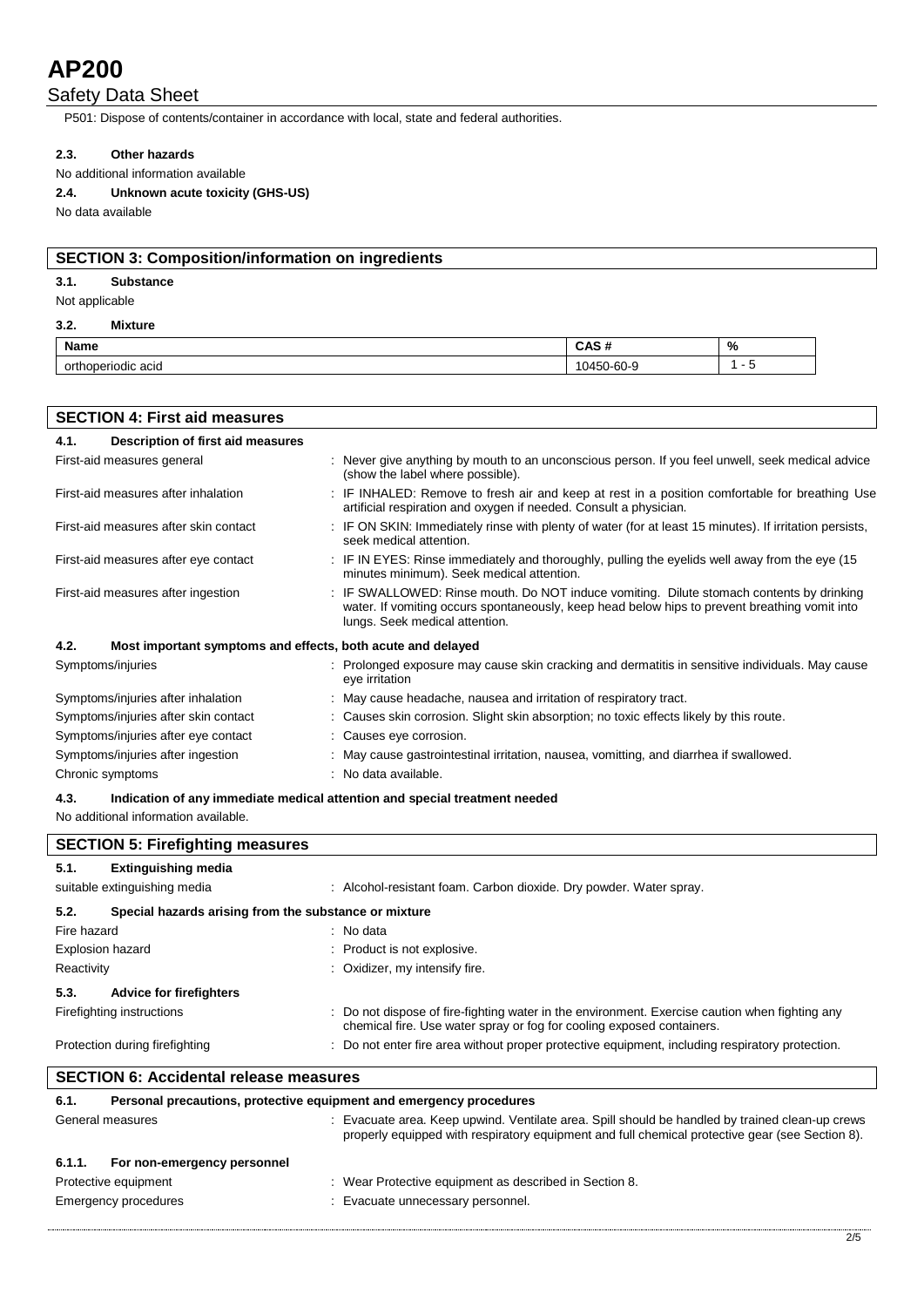# Safety Data Sheet

P501: Dispose of contents/container in accordance with local, state and federal authorities.

## **2.3. Other hazards**

No additional information available

**2.4. Unknown acute toxicity (GHS-US)**

No data available

# **SECTION 3: Composition/information on ingredients**

## **3.1. Substance**

Not applicable

### **3.2. Mixture**

 $\mathsf{I}$ 

| <b>Name</b><br><b>TYQILIG</b>          | ۰.<br>n<br><b>Unu</b><br>_____            | % |
|----------------------------------------|-------------------------------------------|---|
| `acıo<br><b>TIOCIC</b><br>. JODF<br>UN | $\sim$<br>- -<br>ou<br>$\cdot$<br><br>. . |   |

| <b>SECTION 4: First aid measures</b> |                                                             |  |                                                                                                                                                                                                                             |  |
|--------------------------------------|-------------------------------------------------------------|--|-----------------------------------------------------------------------------------------------------------------------------------------------------------------------------------------------------------------------------|--|
| 4.1.                                 | Description of first aid measures                           |  |                                                                                                                                                                                                                             |  |
| First-aid measures general           |                                                             |  | : Never give anything by mouth to an unconscious person. If you feel unwell, seek medical advice<br>(show the label where possible).                                                                                        |  |
| First-aid measures after inhalation  |                                                             |  | : IF INHALED: Remove to fresh air and keep at rest in a position comfortable for breathing Use<br>artificial respiration and oxygen if needed. Consult a physician.                                                         |  |
|                                      | First-aid measures after skin contact                       |  | : IF ON SKIN: Immediately rinse with plenty of water (for at least 15 minutes). If irritation persists,<br>seek medical attention.                                                                                          |  |
|                                      | First-aid measures after eye contact                        |  | . IF IN EYES: Rinse immediately and thoroughly, pulling the eyelids well away from the eye (15)<br>minutes minimum). Seek medical attention.                                                                                |  |
| First-aid measures after ingestion   |                                                             |  | : IF SWALLOWED: Rinse mouth. Do NOT induce vomiting. Dilute stomach contents by drinking<br>water. If vomiting occurs spontaneously, keep head below hips to prevent breathing vomit into<br>lungs. Seek medical attention. |  |
| 4.2.                                 | Most important symptoms and effects, both acute and delayed |  |                                                                                                                                                                                                                             |  |
| Symptoms/injuries                    |                                                             |  | : Prolonged exposure may cause skin cracking and dermatitis in sensitive individuals. May cause<br>eye irritation                                                                                                           |  |
| Symptoms/injuries after inhalation   |                                                             |  | : May cause headache, nausea and irritation of respiratory tract.                                                                                                                                                           |  |
|                                      | Symptoms/injuries after skin contact                        |  | : Causes skin corrosion. Slight skin absorption; no toxic effects likely by this route.                                                                                                                                     |  |
|                                      | Symptoms/injuries after eye contact                         |  | : Causes eye corrosion.                                                                                                                                                                                                     |  |
| Symptoms/injuries after ingestion    |                                                             |  | : May cause gastrointestinal irritation, nausea, vomitting, and diarrhea if swallowed.                                                                                                                                      |  |
| Chronic symptoms                     |                                                             |  | : No data available.                                                                                                                                                                                                        |  |

## **4.3. Indication of any immediate medical attention and special treatment needed**

No additional information available.

| <b>SECTION 5: Firefighting measures</b>                            |                                                                                                                                                                                                    |  |  |
|--------------------------------------------------------------------|----------------------------------------------------------------------------------------------------------------------------------------------------------------------------------------------------|--|--|
| <b>Extinguishing media</b><br>5.1.<br>suitable extinguishing media | : Alcohol-resistant foam. Carbon dioxide. Dry powder. Water spray.                                                                                                                                 |  |  |
| 5.2.                                                               | Special hazards arising from the substance or mixture                                                                                                                                              |  |  |
| Fire hazard                                                        | : No data                                                                                                                                                                                          |  |  |
| <b>Explosion hazard</b>                                            | : Product is not explosive.                                                                                                                                                                        |  |  |
| Reactivity                                                         | : Oxidizer, my intensify fire.                                                                                                                                                                     |  |  |
| 5.3.<br><b>Advice for firefighters</b>                             |                                                                                                                                                                                                    |  |  |
| Firefighting instructions                                          | : Do not dispose of fire-fighting water in the environment. Exercise caution when fighting any<br>chemical fire. Use water spray or fog for cooling exposed containers.                            |  |  |
| Protection during firefighting                                     | : Do not enter fire area without proper protective equipment, including respiratory protection.                                                                                                    |  |  |
| <b>SECTION 6: Accidental release measures</b>                      |                                                                                                                                                                                                    |  |  |
| 6.1.                                                               | Personal precautions, protective equipment and emergency procedures                                                                                                                                |  |  |
| General measures                                                   | : Evacuate area. Keep upwind. Ventilate area. Spill should be handled by trained clean-up crews<br>properly equipped with respiratory equipment and full chemical protective gear (see Section 8). |  |  |

| 6.1.1. | For non-emergency personnel |                                                      |
|--------|-----------------------------|------------------------------------------------------|
|        | Protective equipment        | Wear Protective equipment as described in Section 8. |
|        | Emergency procedures        | Evacuate unnecessary personnel.                      |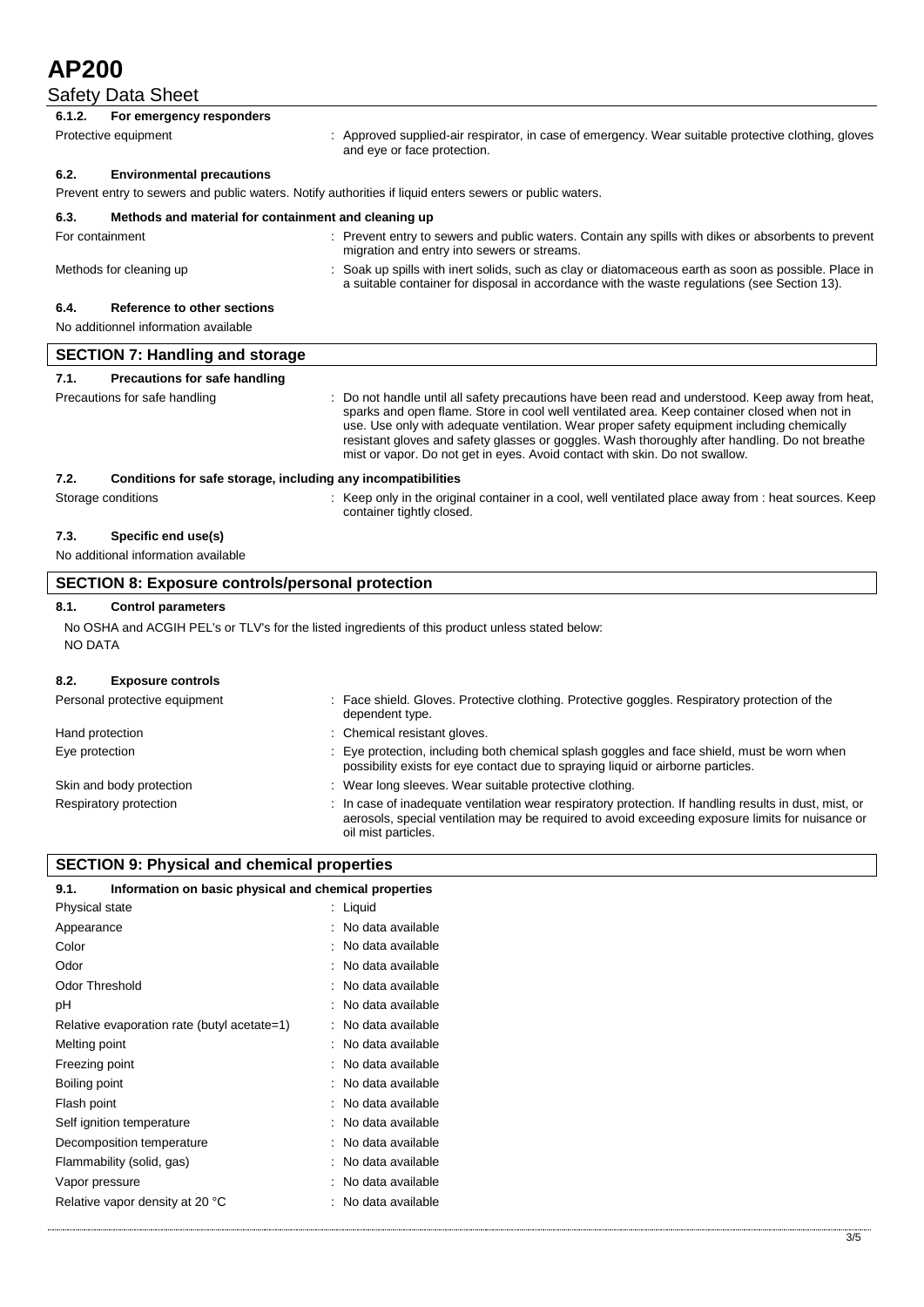# Safety Data Sheet

|                                                                      | Safety Data Sheet                                    |                                                                                                                                                                                                                                                                                                                                                                                                                                                                               |  |
|----------------------------------------------------------------------|------------------------------------------------------|-------------------------------------------------------------------------------------------------------------------------------------------------------------------------------------------------------------------------------------------------------------------------------------------------------------------------------------------------------------------------------------------------------------------------------------------------------------------------------|--|
| 6.1.2.                                                               | For emergency responders                             |                                                                                                                                                                                                                                                                                                                                                                                                                                                                               |  |
|                                                                      | Protective equipment                                 | : Approved supplied-air respirator, in case of emergency. Wear suitable protective clothing, gloves<br>and eye or face protection.                                                                                                                                                                                                                                                                                                                                            |  |
| 6.2.                                                                 | <b>Environmental precautions</b>                     |                                                                                                                                                                                                                                                                                                                                                                                                                                                                               |  |
|                                                                      |                                                      | Prevent entry to sewers and public waters. Notify authorities if liquid enters sewers or public waters.                                                                                                                                                                                                                                                                                                                                                                       |  |
| 6.3.                                                                 | Methods and material for containment and cleaning up |                                                                                                                                                                                                                                                                                                                                                                                                                                                                               |  |
| For containment                                                      |                                                      | : Prevent entry to sewers and public waters. Contain any spills with dikes or absorbents to prevent<br>migration and entry into sewers or streams.                                                                                                                                                                                                                                                                                                                            |  |
|                                                                      | Methods for cleaning up                              | : Soak up spills with inert solids, such as clay or diatomaceous earth as soon as possible. Place in<br>a suitable container for disposal in accordance with the waste regulations (see Section 13).                                                                                                                                                                                                                                                                          |  |
| 6.4.                                                                 | Reference to other sections                          |                                                                                                                                                                                                                                                                                                                                                                                                                                                                               |  |
|                                                                      | No additionnel information available                 |                                                                                                                                                                                                                                                                                                                                                                                                                                                                               |  |
| <b>SECTION 7: Handling and storage</b>                               |                                                      |                                                                                                                                                                                                                                                                                                                                                                                                                                                                               |  |
| 7.1.                                                                 | <b>Precautions for safe handling</b>                 |                                                                                                                                                                                                                                                                                                                                                                                                                                                                               |  |
|                                                                      | Precautions for safe handling                        | Do not handle until all safety precautions have been read and understood. Keep away from heat,<br>sparks and open flame. Store in cool well ventilated area. Keep container closed when not in<br>use. Use only with adequate ventilation. Wear proper safety equipment including chemically<br>resistant gloves and safety glasses or goggles. Wash thoroughly after handling. Do not breathe<br>mist or vapor. Do not get in eyes. Avoid contact with skin. Do not swallow. |  |
| 7.2.<br>Conditions for safe storage, including any incompatibilities |                                                      |                                                                                                                                                                                                                                                                                                                                                                                                                                                                               |  |
|                                                                      | Storage conditions                                   | : Keep only in the original container in a cool, well ventilated place away from : heat sources. Keep<br>container tightly closed.                                                                                                                                                                                                                                                                                                                                            |  |
| 7.3.                                                                 | Specific end use(s)                                  |                                                                                                                                                                                                                                                                                                                                                                                                                                                                               |  |
| No additional information available                                  |                                                      |                                                                                                                                                                                                                                                                                                                                                                                                                                                                               |  |
| <b>SECTION 8: Exposure controls/personal protection</b>              |                                                      |                                                                                                                                                                                                                                                                                                                                                                                                                                                                               |  |
|                                                                      |                                                      |                                                                                                                                                                                                                                                                                                                                                                                                                                                                               |  |

# **8.1. Control parameters**

No OSHA and ACGIH PEL's or TLV's for the listed ingredients of this product unless stated below: NO DATA

# **8.2. Exposure controls**

| Personal protective equipment | Face shield. Gloves. Protective clothing. Protective goggles. Respiratory protection of the<br>dependent type.                                                                                                                  |
|-------------------------------|---------------------------------------------------------------------------------------------------------------------------------------------------------------------------------------------------------------------------------|
| Hand protection               | : Chemical resistant gloves.                                                                                                                                                                                                    |
| Eye protection                | Eye protection, including both chemical splash goggles and face shield, must be worn when<br>possibility exists for eye contact due to spraying liquid or airborne particles.                                                   |
| Skin and body protection      | Wear long sleeves. Wear suitable protective clothing.                                                                                                                                                                           |
| Respiratory protection        | In case of inadequate ventilation wear respiratory protection. If handling results in dust, mist, or<br>aerosols, special ventilation may be required to avoid exceeding exposure limits for nuisance or<br>oil mist particles. |

# **SECTION 9: Physical and chemical properties**

| 9.1.                  | Information on basic physical and chemical properties |    |                   |
|-----------------------|-------------------------------------------------------|----|-------------------|
| Physical state        |                                                       | ÷. | Liquid            |
| Appearance            |                                                       |    | No data available |
| Color                 |                                                       |    | No data available |
| Odor                  |                                                       |    | No data available |
| <b>Odor Threshold</b> |                                                       |    | No data available |
| рH                    |                                                       |    | No data available |
|                       | Relative evaporation rate (butyl acetate=1)           |    | No data available |
| Melting point         |                                                       |    | No data available |
| Freezing point        |                                                       |    | No data available |
| Boiling point         |                                                       |    | No data available |
| Flash point           |                                                       |    | No data available |
|                       | Self ignition temperature                             |    | No data available |
|                       | Decomposition temperature                             |    | No data available |
|                       | Flammability (solid, gas)                             |    | No data available |
| Vapor pressure        |                                                       |    | No data available |
|                       | Relative vapor density at 20 °C                       |    | No data available |
|                       |                                                       |    |                   |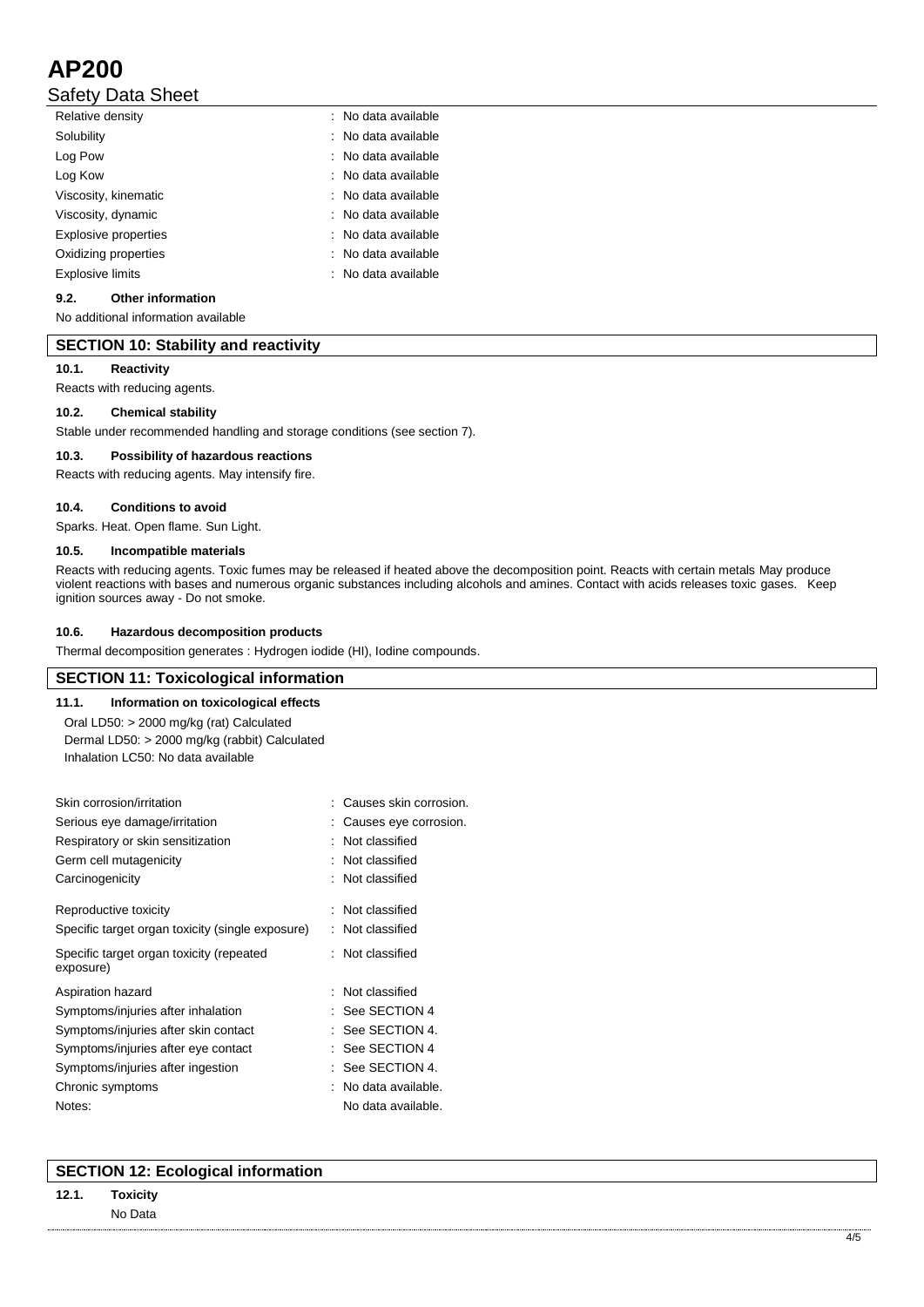# Safety Data Sheet

| Relative density     | : No data available |
|----------------------|---------------------|
| Solubility           | : No data available |
| Log Pow              | : No data available |
| Log Kow              | : No data available |
| Viscosity, kinematic | : No data available |
| Viscosity, dynamic   | : No data available |
| Explosive properties | : No data available |
| Oxidizing properties | : No data available |
| Explosive limits     | : No data available |
|                      |                     |

# **9.2. Other information**

No additional information available

## **SECTION 10: Stability and reactivity**

### **10.1. Reactivity**

Reacts with reducing agents.

### **10.2. Chemical stability**

Stable under recommended handling and storage conditions (see section 7).

### **10.3. Possibility of hazardous reactions**

Reacts with reducing agents. May intensify fire.

### **10.4. Conditions to avoid**

Sparks. Heat. Open flame. Sun Light.

### **10.5. Incompatible materials**

Reacts with reducing agents. Toxic fumes may be released if heated above the decomposition point. Reacts with certain metals May produce violent reactions with bases and numerous organic substances including alcohols and amines. Contact with acids releases toxic gases. Keep ignition sources away - Do not smoke.

### **10.6. Hazardous decomposition products**

Thermal decomposition generates : Hydrogen iodide (HI), Iodine compounds.

# **SECTION 11: Toxicological information**

**11.1. Information on toxicological effects** Oral LD50: > 2000 mg/kg (rat) Calculated Dermal LD50: > 2000 mg/kg (rabbit) Calculated Inhalation LC50: No data available

| : Causes skin corrosion. |
|--------------------------|
| Causes eye corrosion.    |
| Not classified           |
| Not classified           |
| Not classified           |
| : Not classified         |
| Not classified           |
| : Not classified         |
| : Not classified         |
| See SECTION 4            |
| See SECTION 4.           |
| See SECTION 4            |
| : See SECTION 4.         |
| No data available.       |
| No data available.       |
|                          |

# **SECTION 12: Ecological information**

# **12.1. Toxicity** No Data